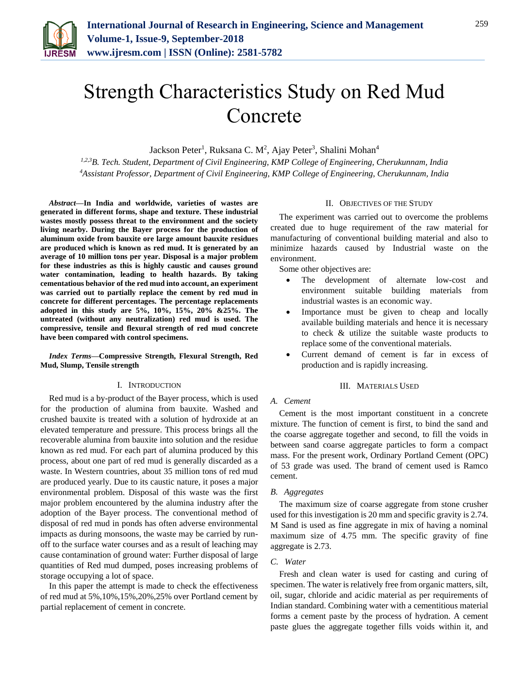

# Strength Characteristics Study on Red Mud Concrete

Jackson Peter<sup>1</sup>, Ruksana C. M<sup>2</sup>, Ajay Peter<sup>3</sup>, Shalini Mohan<sup>4</sup>

*1,2,3B. Tech. Student, Department of Civil Engineering, KMP College of Engineering, Cherukunnam, India 4Assistant Professor, Department of Civil Engineering, KMP College of Engineering, Cherukunnam, India* 

*Abstract***—In India and worldwide, varieties of wastes are generated in different forms, shape and texture. These industrial wastes mostly possess threat to the environment and the society living nearby. During the Bayer process for the production of aluminum oxide from bauxite ore large amount bauxite residues are produced which is known as red mud. It is generated by an average of 10 million tons per year. Disposal is a major problem for these industries as this is highly caustic and causes ground water contamination, leading to health hazards. By taking cementatious behavior of the red mud into account, an experiment was carried out to partially replace the cement by red mud in concrete for different percentages. The percentage replacements adopted in this study are 5%, 10%, 15%, 20% &25%. The untreated (without any neutralization) red mud is used. The compressive, tensile and flexural strength of red mud concrete have been compared with control specimens.**

*Index Terms***—Compressive Strength, Flexural Strength, Red Mud, Slump, Tensile strength**

#### I. INTRODUCTION

Red mud is a by-product of the Bayer process, which is used for the production of alumina from bauxite. Washed and crushed bauxite is treated with a solution of hydroxide at an elevated temperature and pressure. This process brings all the recoverable alumina from bauxite into solution and the residue known as red mud. For each part of alumina produced by this process, about one part of red mud is generally discarded as a waste. In Western countries, about 35 million tons of red mud are produced yearly. Due to its caustic nature, it poses a major environmental problem. Disposal of this waste was the first major problem encountered by the alumina industry after the adoption of the Bayer process. The conventional method of disposal of red mud in ponds has often adverse environmental impacts as during monsoons, the waste may be carried by runoff to the surface water courses and as a result of leaching may cause contamination of ground water: Further disposal of large quantities of Red mud dumped, poses increasing problems of storage occupying a lot of space.

In this paper the attempt is made to check the effectiveness of red mud at 5%,10%,15%,20%,25% over Portland cement by partial replacement of cement in concrete.

#### II. OBJECTIVES OF THE STUDY

The experiment was carried out to overcome the problems created due to huge requirement of the raw material for manufacturing of conventional building material and also to minimize hazards caused by Industrial waste on the environment.

Some other objectives are:

- The development of alternate low-cost and environment suitable building materials from industrial wastes is an economic way.
- Importance must be given to cheap and locally available building materials and hence it is necessary to check & utilize the suitable waste products to replace some of the conventional materials.
- Current demand of cement is far in excess of production and is rapidly increasing.

#### III. MATERIALS USED

#### *A. Cement*

Cement is the most important constituent in a concrete mixture. The function of cement is first, to bind the sand and the coarse aggregate together and second, to fill the voids in between sand coarse aggregate particles to form a compact mass. For the present work, Ordinary Portland Cement (OPC) of 53 grade was used. The brand of cement used is Ramco cement.

#### *B. Aggregates*

The maximum size of coarse aggregate from stone crusher used for this investigation is 20 mm and specific gravity is 2.74. M Sand is used as fine aggregate in mix of having a nominal maximum size of 4.75 mm. The specific gravity of fine aggregate is 2.73.

### *C. Water*

Fresh and clean water is used for casting and curing of specimen. The water is relatively free from organic matters, silt, oil, sugar, chloride and acidic material as per requirements of Indian standard. Combining water with a cementitious material forms a cement paste by the process of hydration. A cement paste glues the aggregate together fills voids within it, and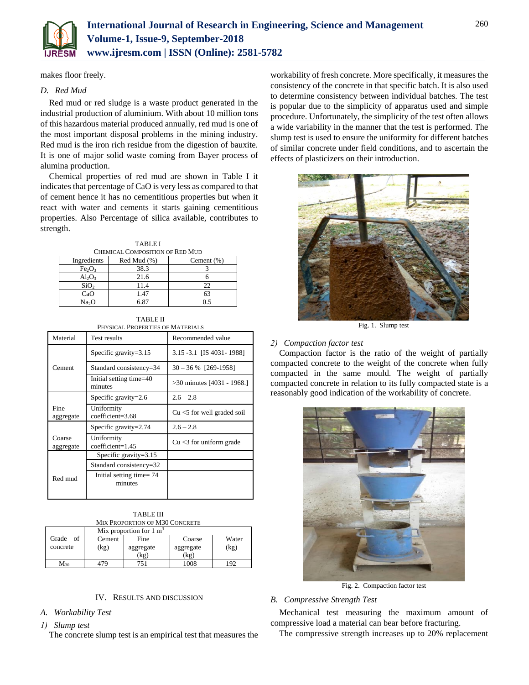

makes floor freely.

# *D. Red Mud*

Red mud or red sludge is a waste product generated in the industrial production of aluminium. With about 10 million tons of this hazardous material produced annually, red mud is one of the most important disposal problems in the mining industry. Red mud is the iron rich residue from the digestion of bauxite. It is one of major solid waste coming from Bayer process of alumina production.

Chemical properties of red mud are shown in Table I it indicates that percentage of CaO is very less as compared to that of cement hence it has no cementitious properties but when it react with water and cements it starts gaining cementitious properties. Also Percentage of silica available, contributes to strength.

| <b>TABLEI</b>                   |             |                |  |  |  |  |
|---------------------------------|-------------|----------------|--|--|--|--|
| CHEMICAL COMPOSITION OF RED MUD |             |                |  |  |  |  |
| Ingredients                     | Red Mud (%) | Cement $(\% )$ |  |  |  |  |
| Fe <sub>2</sub> O <sub>3</sub>  | 38.3        |                |  |  |  |  |
| $Al_2O_3$                       | 21.6        |                |  |  |  |  |
| SiO <sub>2</sub>                | 11.4        | 22             |  |  |  |  |
| CaO                             | 1.47        | 63             |  |  |  |  |
| Na <sub>2</sub> O               | 6 87        | 0 ና            |  |  |  |  |

| <b>TABLE II</b>                  |
|----------------------------------|
| PHYSICAL PROPERTIES OF MATERIALS |

| Material            | Test results                                      | Recommended value             |  |
|---------------------|---------------------------------------------------|-------------------------------|--|
|                     | Specific gravity= $3.15$                          | 3.15 - 3.1 [IS 4031 - 1988]   |  |
| Cement              | $30 - 36 %$ [269-1958]<br>Standard consistency=34 |                               |  |
|                     | Initial setting time=40<br>minutes                | $>30$ minutes [4031 - 1968.]  |  |
|                     | Specific gravity= $2.6$                           | $2.6 - 2.8$                   |  |
| Fine<br>aggregate   | Uniformity<br>coefficient=3.68                    | $Cu < 5$ for well graded soil |  |
|                     | Specific gravity=2.74                             | $2.6 - 2.8$                   |  |
| Coarse<br>aggregate | Uniformity<br>coefficient=1.45                    | $Cu < 3$ for uniform grade    |  |
|                     | Specific gravity= $3.15$                          |                               |  |
|                     | Standard consistency=32                           |                               |  |
| Red mud             | Initial setting time = $74$<br>minutes            |                               |  |

| <b>TABLE III</b>                       |  |
|----------------------------------------|--|
| $\sim$ December of $\sim$ 1430 Courses |  |

| MIX PROPORTION OF M30 CONCRETE |                                    |           |           |       |  |  |
|--------------------------------|------------------------------------|-----------|-----------|-------|--|--|
|                                | Mix proportion for $1 \text{ m}^3$ |           |           |       |  |  |
| Grade<br>of                    | Cement                             | Fine      | Coarse    | Water |  |  |
| concrete                       | (kg)                               | aggregate | aggregate | (kg)  |  |  |
|                                |                                    | (kg)      | (kg)      |       |  |  |
| $M_{30}$                       | 17Y                                | 751       | 1008      | 192   |  |  |

## IV. RESULTS AND DISCUSSION

## *A. Workability Test*

### *1) Slump test*

The concrete slump test is an empirical test that measures the

workability of fresh concrete. More specifically, it measures the consistency of the concrete in that specific batch. It is also used to determine consistency between individual batches. The test is popular due to the simplicity of apparatus used and simple procedure. Unfortunately, the simplicity of the test often allows a wide variability in the manner that the test is performed. The slump test is used to ensure the uniformity for different batches of similar concrete under field conditions, and to ascertain the effects of plasticizers on their introduction.



Fig. 1. Slump test

## *2) Compaction factor test*

Compaction factor is the ratio of the weight of partially compacted concrete to the weight of the concrete when fully compacted in the same mould. The weight of partially compacted concrete in relation to its fully compacted state is a reasonably good indication of the workability of concrete.



Fig. 2. Compaction factor test

# *B. Compressive Strength Test*

Mechanical test measuring the maximum amount of compressive load a material can bear before fracturing.

The compressive strength increases up to 20% replacement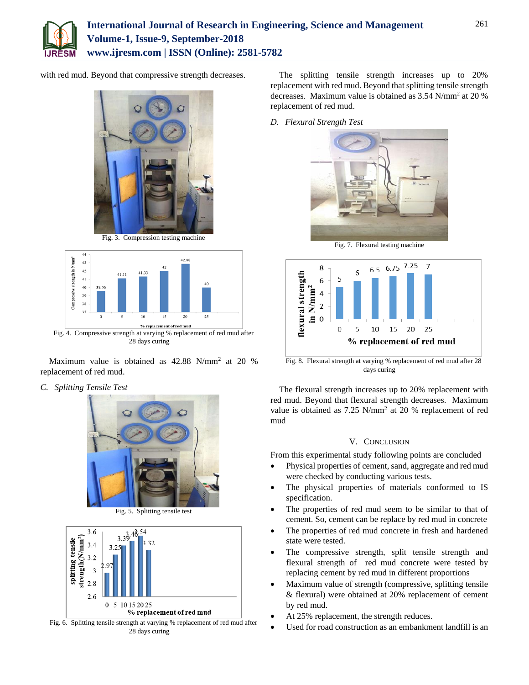

with red mud. Beyond that compressive strength decreases.



Fig. 3. Compression testing machine



Maximum value is obtained as  $42.88$  N/mm<sup>2</sup> at 20 % replacement of red mud.

*C. Splitting Tensile Test*



Fig. 5. Splitting tensile test



Fig. 6. Splitting tensile strength at varying % replacement of red mud after 28 days curing

The splitting tensile strength increases up to 20% replacement with red mud. Beyond that splitting tensile strength decreases. Maximum value is obtained as 3.54 N/mm<sup>2</sup> at 20 % replacement of red mud.

*D. Flexural Strength Test*



Fig. 7. Flexural testing machine



Fig. 8. Flexural strength at varying % replacement of red mud after 28 days curing

The flexural strength increases up to 20% replacement with red mud. Beyond that flexural strength decreases. Maximum value is obtained as 7.25 N/mm<sup>2</sup> at 20 % replacement of red mud

## V. CONCLUSION

From this experimental study following points are concluded

- Physical properties of cement, sand, aggregate and red mud were checked by conducting various tests.
- The physical properties of materials conformed to IS specification.
- The properties of red mud seem to be similar to that of cement. So, cement can be replace by red mud in concrete
- The properties of red mud concrete in fresh and hardened state were tested.
- The compressive strength, split tensile strength and flexural strength of red mud concrete were tested by replacing cement by red mud in different proportions
- Maximum value of strength (compressive, splitting tensile & flexural) were obtained at 20% replacement of cement by red mud.
- At 25% replacement, the strength reduces.
- Used for road construction as an embankment landfill is an